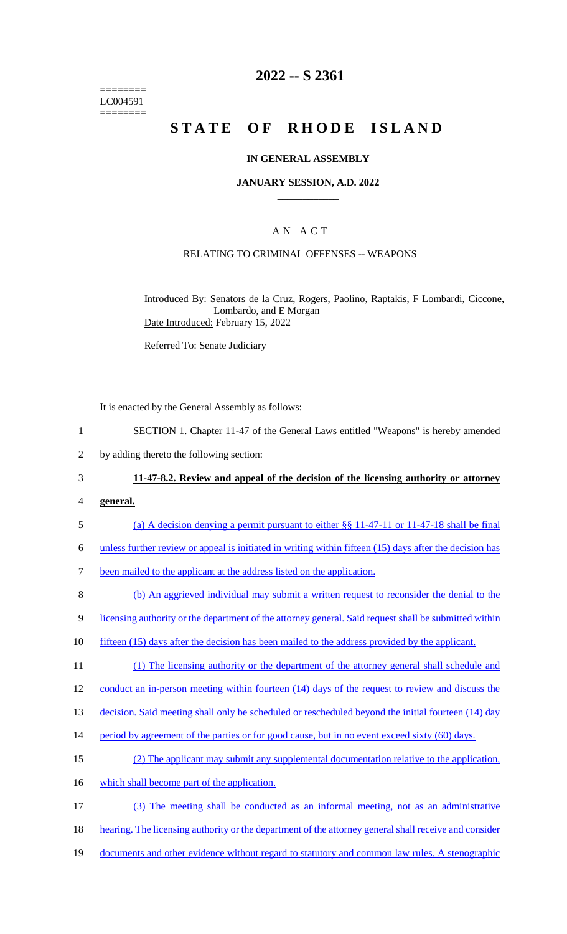======== LC004591 ========

## **2022 -- S 2361**

# **STATE OF RHODE ISLAND**

## **IN GENERAL ASSEMBLY**

### **JANUARY SESSION, A.D. 2022 \_\_\_\_\_\_\_\_\_\_\_\_**

## A N A C T

## RELATING TO CRIMINAL OFFENSES -- WEAPONS

Introduced By: Senators de la Cruz, Rogers, Paolino, Raptakis, F Lombardi, Ciccone, Lombardo, and E Morgan Date Introduced: February 15, 2022

Referred To: Senate Judiciary

It is enacted by the General Assembly as follows:

- 1 SECTION 1. Chapter 11-47 of the General Laws entitled "Weapons" is hereby amended
- 2 by adding thereto the following section:

## 3 **11-47-8.2. Review and appeal of the decision of the licensing authority or attorney**

- 4 **general.**
- 5 (a) A decision denying a permit pursuant to either §§ 11-47-11 or 11-47-18 shall be final

6 unless further review or appeal is initiated in writing within fifteen (15) days after the decision has

- 7 been mailed to the applicant at the address listed on the application.
- 8 (b) An aggrieved individual may submit a written request to reconsider the denial to the

9 licensing authority or the department of the attorney general. Said request shall be submitted within

- 10 fifteen (15) days after the decision has been mailed to the address provided by the applicant.
- 11 (1) The licensing authority or the department of the attorney general shall schedule and

12 conduct an in-person meeting within fourteen (14) days of the request to review and discuss the

13 decision. Said meeting shall only be scheduled or rescheduled beyond the initial fourteen (14) day

- 14 period by agreement of the parties or for good cause, but in no event exceed sixty (60) days.
- 15 (2) The applicant may submit any supplemental documentation relative to the application,
- 16 which shall become part of the application.
- 17 (3) The meeting shall be conducted as an informal meeting, not as an administrative
- 18 hearing. The licensing authority or the department of the attorney general shall receive and consider
- 19 documents and other evidence without regard to statutory and common law rules. A stenographic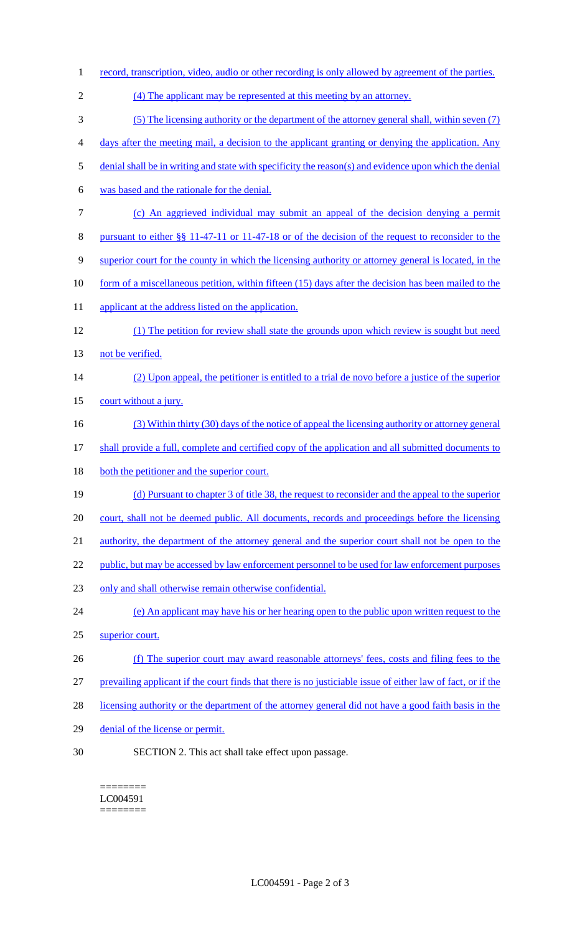- record, transcription, video, audio or other recording is only allowed by agreement of the parties. (4) The applicant may be represented at this meeting by an attorney. (5) The licensing authority or the department of the attorney general shall, within seven (7) days after the meeting mail, a decision to the applicant granting or denying the application. Any denial shall be in writing and state with specificity the reason(s) and evidence upon which the denial was based and the rationale for the denial. (c) An aggrieved individual may submit an appeal of the decision denying a permit pursuant to either §§ 11-47-11 or 11-47-18 or of the decision of the request to reconsider to the superior court for the county in which the licensing authority or attorney general is located, in the 10 form of a miscellaneous petition, within fifteen (15) days after the decision has been mailed to the 11 applicant at the address listed on the application. (1) The petition for review shall state the grounds upon which review is sought but need 13 not be verified. (2) Upon appeal, the petitioner is entitled to a trial de novo before a justice of the superior 15 court without a jury. (3) Within thirty (30) days of the notice of appeal the licensing authority or attorney general shall provide a full, complete and certified copy of the application and all submitted documents to 18 both the petitioner and the superior court. (d) Pursuant to chapter 3 of title 38, the request to reconsider and the appeal to the superior 20 court, shall not be deemed public. All documents, records and proceedings before the licensing 21 authority, the department of the attorney general and the superior court shall not be open to the 22 public, but may be accessed by law enforcement personnel to be used for law enforcement purposes only and shall otherwise remain otherwise confidential. (e) An applicant may have his or her hearing open to the public upon written request to the superior court. (f) The superior court may award reasonable attorneys' fees, costs and filing fees to the prevailing applicant if the court finds that there is no justiciable issue of either law of fact, or if the 28 licensing authority or the department of the attorney general did not have a good faith basis in the denial of the license or permit. SECTION 2. This act shall take effect upon passage.
	- ======== LC004591 ========